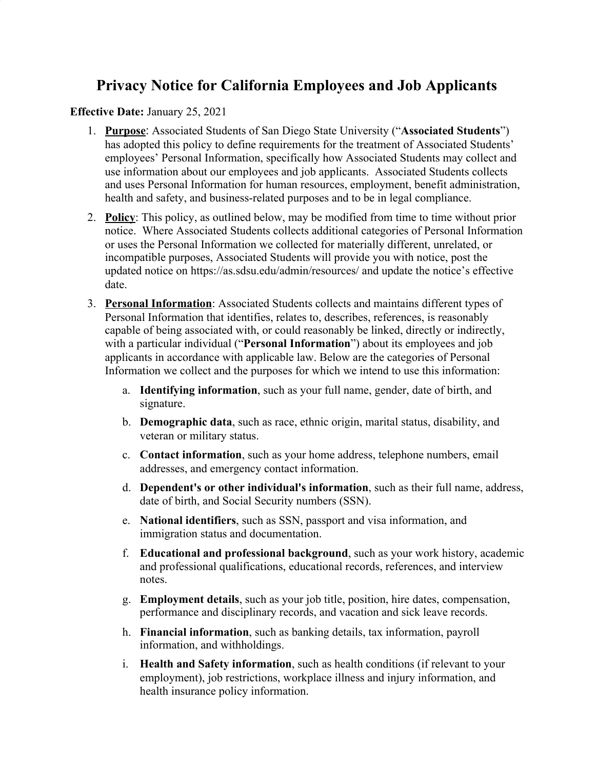## **Privacy Notice for California Employees and Job Applicants**

## **Effective Date:** January 25, 2021

- 1. **Purpose**: Associated Students of San Diego State University ("**Associated Students**") has adopted this policy to define requirements for the treatment of Associated Students' employees' Personal Information, specifically how Associated Students may collect and use information about our employees and job applicants. Associated Students collects and uses Personal Information for human resources, employment, benefit administration, health and safety, and business-related purposes and to be in legal compliance.
- 2. **Policy**: This policy, as outlined below, may be modified from time to time without prior notice. Where Associated Students collects additional categories of Personal Information or uses the Personal Information we collected for materially different, unrelated, or incompatible purposes, Associated Students will provide you with notice, post the updated notice on https://as.sdsu.edu/admin/resources/ and update the notice's effective date.
- 3. **Personal Information**: Associated Students collects and maintains different types of Personal Information that identifies, relates to, describes, references, is reasonably capable of being associated with, or could reasonably be linked, directly or indirectly, with a particular individual ("**Personal Information**") about its employees and job applicants in accordance with applicable law. Below are the categories of Personal Information we collect and the purposes for which we intend to use this information:
	- a. **Identifying information**, such as your full name, gender, date of birth, and signature.
	- b. **Demographic data**, such as race, ethnic origin, marital status, disability, and veteran or military status.
	- c. **Contact information**, such as your home address, telephone numbers, email addresses, and emergency contact information.
	- d. **Dependent's or other individual's information**, such as their full name, address, date of birth, and Social Security numbers (SSN).
	- e. **National identifiers**, such as SSN, passport and visa information, and immigration status and documentation.
	- f. **Educational and professional background**, such as your work history, academic and professional qualifications, educational records, references, and interview notes.
	- g. **Employment details**, such as your job title, position, hire dates, compensation, performance and disciplinary records, and vacation and sick leave records.
	- h. **Financial information**, such as banking details, tax information, payroll information, and withholdings.
	- i. **Health and Safety information**, such as health conditions (if relevant to your employment), job restrictions, workplace illness and injury information, and health insurance policy information.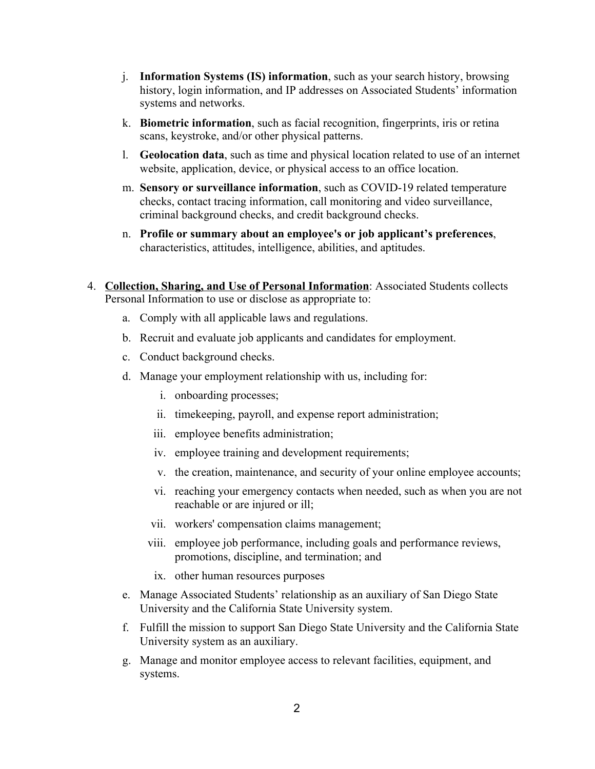- j. **Information Systems (IS) information**, such as your search history, browsing history, login information, and IP addresses on Associated Students' information systems and networks.
- k. **Biometric information**, such as facial recognition, fingerprints, iris or retina scans, keystroke, and/or other physical patterns.
- l. **Geolocation data**, such as time and physical location related to use of an internet website, application, device, or physical access to an office location.
- m. **Sensory or surveillance information**, such as COVID-19 related temperature checks, contact tracing information, call monitoring and video surveillance, criminal background checks, and credit background checks.
- n. **Profile or summary about an employee's or job applicant's preferences**, characteristics, attitudes, intelligence, abilities, and aptitudes.
- 4. **Collection, Sharing, and Use of Personal Information**: Associated Students collects Personal Information to use or disclose as appropriate to:
	- a. Comply with all applicable laws and regulations.
	- b. Recruit and evaluate job applicants and candidates for employment.
	- c. Conduct background checks.
	- d. Manage your employment relationship with us, including for:
		- i. onboarding processes;
		- ii. timekeeping, payroll, and expense report administration;
		- iii. employee benefits administration;
		- iv. employee training and development requirements;
		- v. the creation, maintenance, and security of your online employee accounts;
		- vi. reaching your emergency contacts when needed, such as when you are not reachable or are injured or ill;
		- vii. workers' compensation claims management;
		- viii. employee job performance, including goals and performance reviews, promotions, discipline, and termination; and
		- ix. other human resources purposes
	- e. Manage Associated Students' relationship as an auxiliary of San Diego State University and the California State University system.
	- f. Fulfill the mission to support San Diego State University and the California State University system as an auxiliary.
	- g. Manage and monitor employee access to relevant facilities, equipment, and systems.